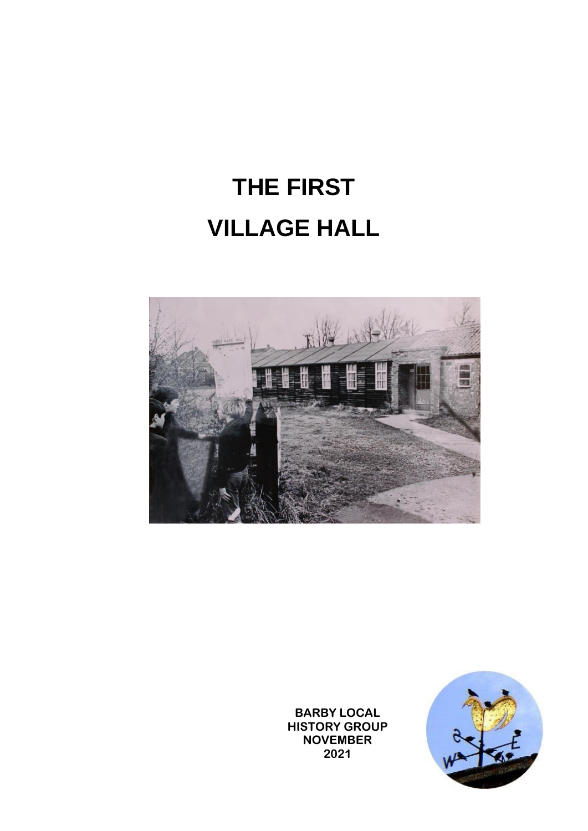## **THE FIRST VILLAGE HALL**



**BARBY LOCAL HISTORY GROUP NOVEMBER 2021**

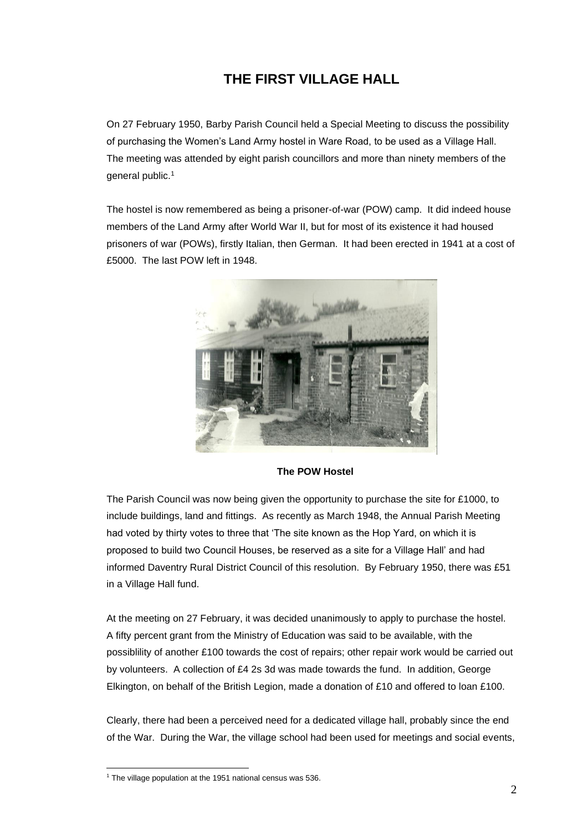## **THE FIRST VILLAGE HALL**

On 27 February 1950, Barby Parish Council held a Special Meeting to discuss the possibility of purchasing the Women's Land Army hostel in Ware Road, to be used as a Village Hall. The meeting was attended by eight parish councillors and more than ninety members of the general public.<sup>1</sup>

The hostel is now remembered as being a prisoner-of-war (POW) camp. It did indeed house members of the Land Army after World War II, but for most of its existence it had housed prisoners of war (POWs), firstly Italian, then German. It had been erected in 1941 at a cost of £5000. The last POW left in 1948.



**The POW Hostel**

The Parish Council was now being given the opportunity to purchase the site for £1000, to include buildings, land and fittings. As recently as March 1948, the Annual Parish Meeting had voted by thirty votes to three that 'The site known as the Hop Yard, on which it is proposed to build two Council Houses, be reserved as a site for a Village Hall' and had informed Daventry Rural District Council of this resolution. By February 1950, there was £51 in a Village Hall fund.

At the meeting on 27 February, it was decided unanimously to apply to purchase the hostel. A fifty percent grant from the Ministry of Education was said to be available, with the possiblility of another £100 towards the cost of repairs; other repair work would be carried out by volunteers. A collection of £4 2s 3d was made towards the fund. In addition, George Elkington, on behalf of the British Legion, made a donation of £10 and offered to loan £100.

Clearly, there had been a perceived need for a dedicated village hall, probably since the end of the War. During the War, the village school had been used for meetings and social events,

 $1$  The village population at the 1951 national census was 536.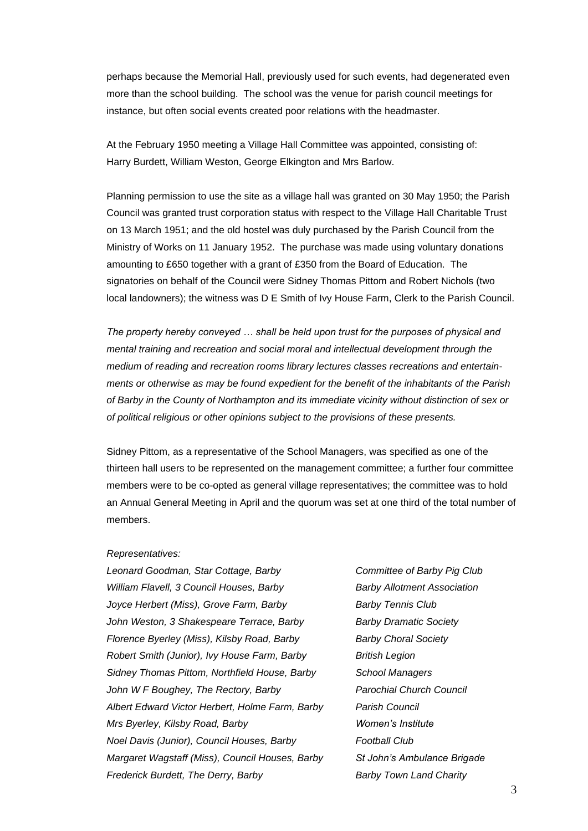perhaps because the Memorial Hall, previously used for such events, had degenerated even more than the school building. The school was the venue for parish council meetings for instance, but often social events created poor relations with the headmaster.

At the February 1950 meeting a Village Hall Committee was appointed, consisting of: Harry Burdett, William Weston, George Elkington and Mrs Barlow.

Planning permission to use the site as a village hall was granted on 30 May 1950; the Parish Council was granted trust corporation status with respect to the Village Hall Charitable Trust on 13 March 1951; and the old hostel was duly purchased by the Parish Council from the Ministry of Works on 11 January 1952. The purchase was made using voluntary donations amounting to £650 together with a grant of £350 from the Board of Education. The signatories on behalf of the Council were Sidney Thomas Pittom and Robert Nichols (two local landowners); the witness was D E Smith of Ivy House Farm, Clerk to the Parish Council.

*The property hereby conveyed … shall be held upon trust for the purposes of physical and mental training and recreation and social moral and intellectual development through the medium of reading and recreation rooms library lectures classes recreations and entertainments or otherwise as may be found expedient for the benefit of the inhabitants of the Parish of Barby in the County of Northampton and its immediate vicinity without distinction of sex or of political religious or other opinions subject to the provisions of these presents.*

Sidney Pittom, as a representative of the School Managers, was specified as one of the thirteen hall users to be represented on the management committee; a further four committee members were to be co-opted as general village representatives; the committee was to hold an Annual General Meeting in April and the quorum was set at one third of the total number of members.

## *Representatives:*

*Leonard Goodman, Star Cottage, Barby Committee of Barby Pig Club William Flavell, 3 Council Houses, Barby Barby Allotment Association Joyce Herbert (Miss), Grove Farm, Barby Barby Tennis Club John Weston, 3 Shakespeare Terrace, Barby Barby Dramatic Society Florence Byerley (Miss), Kilsby Road, Barby Barby Choral Society Robert Smith (Junior), Ivy House Farm, Barby British Legion Sidney Thomas Pittom, Northfield House, Barby School Managers John W F Boughey, The Rectory, Barby Parochial Church Council Albert Edward Victor Herbert, Holme Farm, Barby Parish Council Mrs Byerley, Kilsby Road, Barby Women's Institute Noel Davis (Junior), Council Houses, Barby Football Club Margaret Wagstaff (Miss), Council Houses, Barby St John's Ambulance Brigade Frederick Burdett, The Derry, Barby Barby Town Land Charity*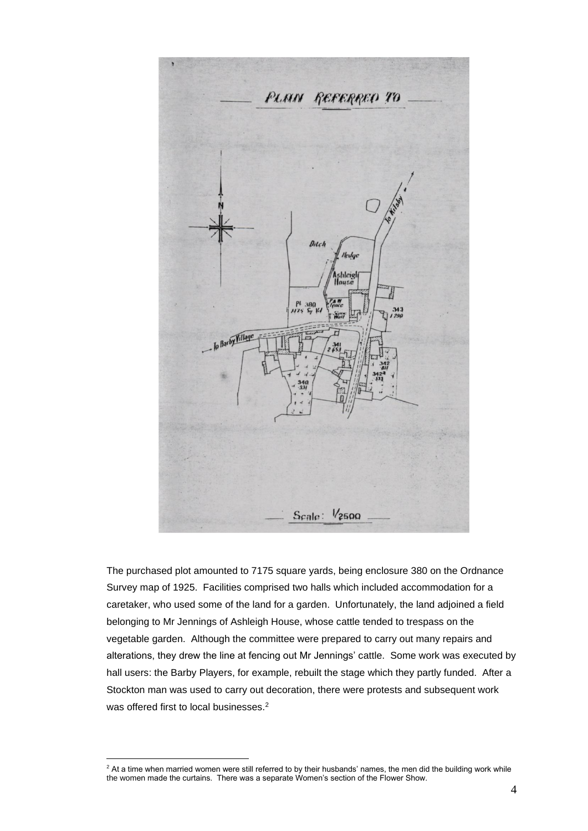

The purchased plot amounted to 7175 square yards, being enclosure 380 on the Ordnance Survey map of 1925. Facilities comprised two halls which included accommodation for a caretaker, who used some of the land for a garden. Unfortunately, the land adjoined a field belonging to Mr Jennings of Ashleigh House, whose cattle tended to trespass on the vegetable garden. Although the committee were prepared to carry out many repairs and alterations, they drew the line at fencing out Mr Jennings' cattle. Some work was executed by hall users: the Barby Players, for example, rebuilt the stage which they partly funded. After a Stockton man was used to carry out decoration, there were protests and subsequent work was offered first to local businesses.<sup>2</sup>

<sup>&</sup>lt;sup>2</sup> At a time when married women were still referred to by their husbands' names, the men did the building work while the women made the curtains. There was a separate Women's section of the Flower Show.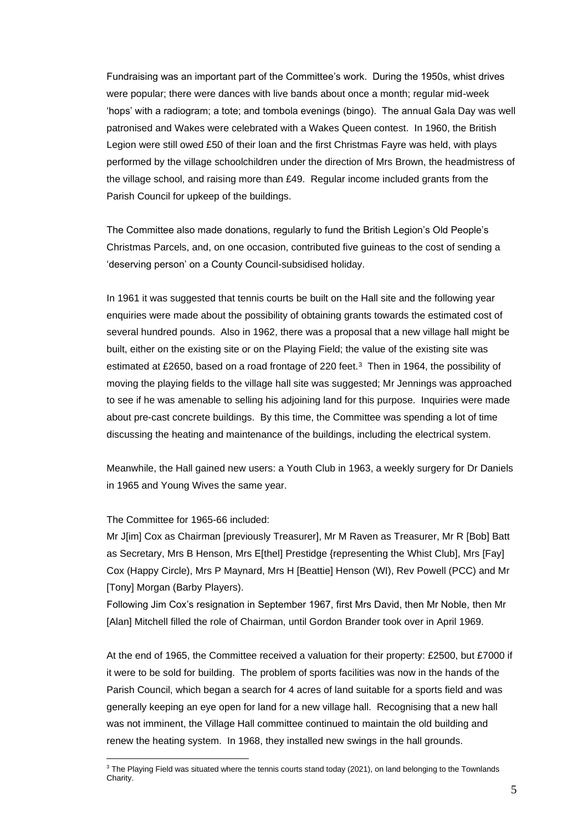Fundraising was an important part of the Committee's work. During the 1950s, whist drives were popular; there were dances with live bands about once a month; regular mid-week 'hops' with a radiogram; a tote; and tombola evenings (bingo). The annual Gala Day was well patronised and Wakes were celebrated with a Wakes Queen contest. In 1960, the British Legion were still owed £50 of their loan and the first Christmas Fayre was held, with plays performed by the village schoolchildren under the direction of Mrs Brown, the headmistress of the village school, and raising more than £49. Regular income included grants from the Parish Council for upkeep of the buildings.

The Committee also made donations, regularly to fund the British Legion's Old People's Christmas Parcels, and, on one occasion, contributed five guineas to the cost of sending a 'deserving person' on a County Council-subsidised holiday.

In 1961 it was suggested that tennis courts be built on the Hall site and the following year enquiries were made about the possibility of obtaining grants towards the estimated cost of several hundred pounds. Also in 1962, there was a proposal that a new village hall might be built, either on the existing site or on the Playing Field; the value of the existing site was estimated at £2650, based on a road frontage of 220 feet.<sup>3</sup> Then in 1964, the possibility of moving the playing fields to the village hall site was suggested; Mr Jennings was approached to see if he was amenable to selling his adjoining land for this purpose. Inquiries were made about pre-cast concrete buildings. By this time, the Committee was spending a lot of time discussing the heating and maintenance of the buildings, including the electrical system.

Meanwhile, the Hall gained new users: a Youth Club in 1963, a weekly surgery for Dr Daniels in 1965 and Young Wives the same year.

The Committee for 1965-66 included:

Mr J[im] Cox as Chairman [previously Treasurer], Mr M Raven as Treasurer, Mr R [Bob] Batt as Secretary, Mrs B Henson, Mrs E[thel] Prestidge {representing the Whist Club], Mrs [Fay] Cox (Happy Circle), Mrs P Maynard, Mrs H [Beattie] Henson (WI), Rev Powell (PCC) and Mr [Tony] Morgan (Barby Players).

Following Jim Cox's resignation in September 1967, first Mrs David, then Mr Noble, then Mr [Alan] Mitchell filled the role of Chairman, until Gordon Brander took over in April 1969.

At the end of 1965, the Committee received a valuation for their property: £2500, but £7000 if it were to be sold for building. The problem of sports facilities was now in the hands of the Parish Council, which began a search for 4 acres of land suitable for a sports field and was generally keeping an eye open for land for a new village hall. Recognising that a new hall was not imminent, the Village Hall committee continued to maintain the old building and renew the heating system. In 1968, they installed new swings in the hall grounds.

<sup>&</sup>lt;sup>3</sup> The Playing Field was situated where the tennis courts stand today (2021), on land belonging to the Townlands Charity.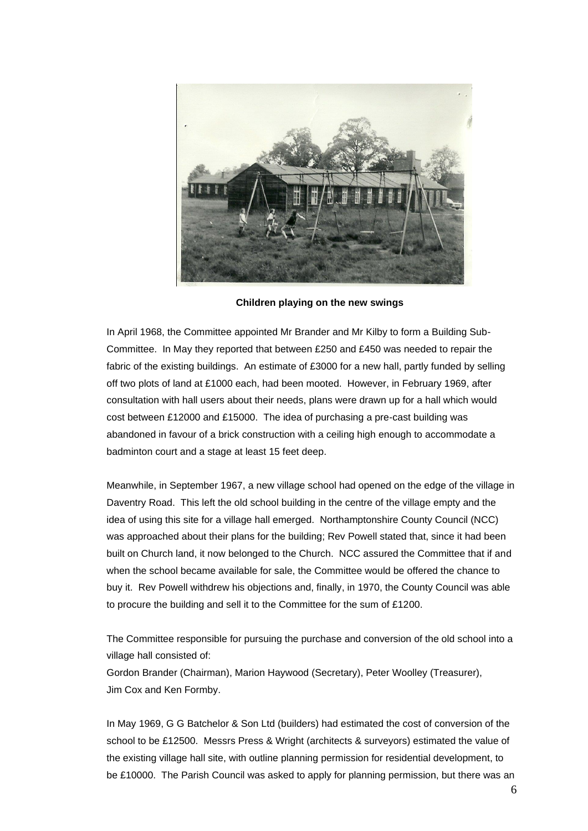

**Children playing on the new swings**

In April 1968, the Committee appointed Mr Brander and Mr Kilby to form a Building Sub-Committee. In May they reported that between £250 and £450 was needed to repair the fabric of the existing buildings. An estimate of £3000 for a new hall, partly funded by selling off two plots of land at £1000 each, had been mooted. However, in February 1969, after consultation with hall users about their needs, plans were drawn up for a hall which would cost between £12000 and £15000. The idea of purchasing a pre-cast building was abandoned in favour of a brick construction with a ceiling high enough to accommodate a badminton court and a stage at least 15 feet deep.

Meanwhile, in September 1967, a new village school had opened on the edge of the village in Daventry Road. This left the old school building in the centre of the village empty and the idea of using this site for a village hall emerged. Northamptonshire County Council (NCC) was approached about their plans for the building; Rev Powell stated that, since it had been built on Church land, it now belonged to the Church. NCC assured the Committee that if and when the school became available for sale, the Committee would be offered the chance to buy it. Rev Powell withdrew his objections and, finally, in 1970, the County Council was able to procure the building and sell it to the Committee for the sum of £1200.

The Committee responsible for pursuing the purchase and conversion of the old school into a village hall consisted of:

Gordon Brander (Chairman), Marion Haywood (Secretary), Peter Woolley (Treasurer), Jim Cox and Ken Formby.

In May 1969, G G Batchelor & Son Ltd (builders) had estimated the cost of conversion of the school to be £12500. Messrs Press & Wright (architects & surveyors) estimated the value of the existing village hall site, with outline planning permission for residential development, to be £10000. The Parish Council was asked to apply for planning permission, but there was an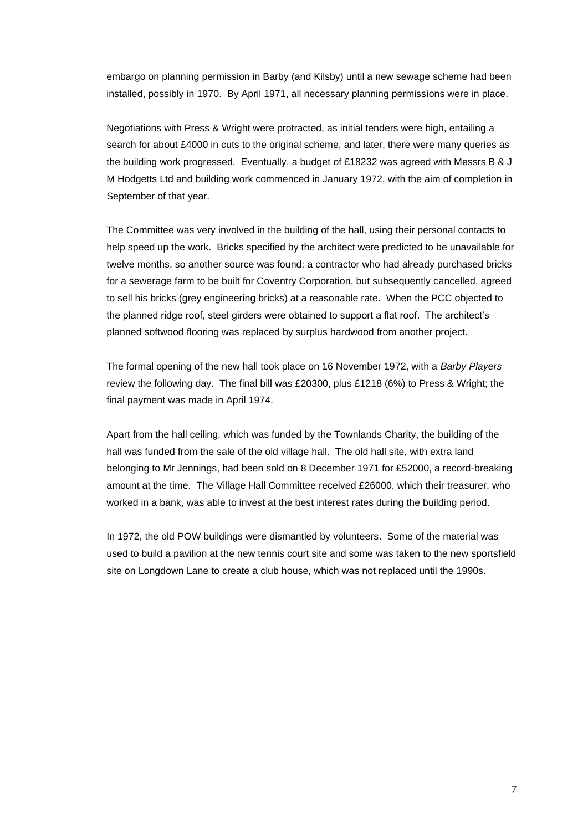embargo on planning permission in Barby (and Kilsby) until a new sewage scheme had been installed, possibly in 1970. By April 1971, all necessary planning permissions were in place.

Negotiations with Press & Wright were protracted, as initial tenders were high, entailing a search for about £4000 in cuts to the original scheme, and later, there were many queries as the building work progressed. Eventually, a budget of £18232 was agreed with Messrs B & J M Hodgetts Ltd and building work commenced in January 1972, with the aim of completion in September of that year.

The Committee was very involved in the building of the hall, using their personal contacts to help speed up the work. Bricks specified by the architect were predicted to be unavailable for twelve months, so another source was found: a contractor who had already purchased bricks for a sewerage farm to be built for Coventry Corporation, but subsequently cancelled, agreed to sell his bricks (grey engineering bricks) at a reasonable rate. When the PCC objected to the planned ridge roof, steel girders were obtained to support a flat roof. The architect's planned softwood flooring was replaced by surplus hardwood from another project.

The formal opening of the new hall took place on 16 November 1972, with a *Barby Players* review the following day. The final bill was £20300, plus £1218 (6%) to Press & Wright; the final payment was made in April 1974.

Apart from the hall ceiling, which was funded by the Townlands Charity, the building of the hall was funded from the sale of the old village hall. The old hall site, with extra land belonging to Mr Jennings, had been sold on 8 December 1971 for £52000, a record-breaking amount at the time. The Village Hall Committee received £26000, which their treasurer, who worked in a bank, was able to invest at the best interest rates during the building period.

In 1972, the old POW buildings were dismantled by volunteers. Some of the material was used to build a pavilion at the new tennis court site and some was taken to the new sportsfield site on Longdown Lane to create a club house, which was not replaced until the 1990s.